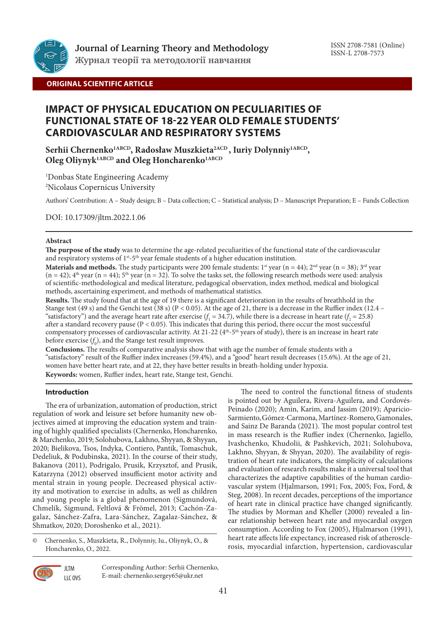

# **ORIGINAL SCIENTIFIC ARTICLE**

# **IMPACT OF PHYSICAL EDUCATION ON PECULIARITIES OF FUNCTIONAL STATE OF 18-22 YEAR OLD FEMALE STUDENTS' CARDIOVASCULAR AND RESPIRATORY SYSTEMS**

Serhii Chernenko<sup>1ABCD</sup>, Radosław Muszkieta<sup>2ACD</sup>, Iuriy Dolynniy<sup>1ABCD</sup>, Oleg Oliynyk<sup>1ABCD</sup> and Oleg Honcharenko<sup>1ABCD</sup>

1 Donbas State Engineering Academy 2 Nicolaus Copernicus University

Authors' Contribution: A – Study design; B – Data collection; C – Statistical analysis; D – Manuscript Preparation; E – Funds Collection

DOI: 10.17309/jltm.2022.1.06

### **Abstract**

**The purpose of the study** was to determine the age-related peculiarities of the functional state of the cardiovascular and respiratory systems of  $1^{st}$ -5<sup>th</sup> year female students of a higher education institution.

**Materials and methods.** The study participants were 200 female students: 1<sup>st</sup> year (n = 44); 2<sup>nd</sup> year (n = 38); 3<sup>rd</sup> year  $(n = 42)$ ; 4<sup>th</sup> year  $(n = 44)$ ; 5<sup>th</sup> year  $(n = 32)$ . To solve the tasks set, the following research methods were used: analysis of scientific-methodological and medical literature, pedagogical observation, index method, medical and biological methods, ascertaining experiment, and methods of mathematical statistics.

**Results.** The study found that at the age of 19 there is a significant deterioration in the results of breathhold in the Stange test (49 s) and the Genchi test (38 s) ( $P < 0.05$ ). At the age of 21, there is a decrease in the Ruffier index (12.4 – "satisfactory") and the average heart rate after exercise  $(f_1 = 34.7)$ , while there is a decrease in heart rate  $(f_2 = 25.8)$ after a standard recovery pause (P < 0.05). This indicates that during this period, there occur the most successful compensatory processes of cardiovascular activity. At 21-22 (4<sup>th</sup>-5<sup>th</sup> years of study), there is an increase in heart rate before exercise  $(f_0)$ , and the Stange test result improves.

**Conclusions.** The results of comparative analysis show that with age the number of female students with a "satisfactory" result of the Ruffier index increases (59.4%), and a "good" heart result decreases (15.6%). At the age of 21, women have better heart rate, and at 22, they have better results in breath-holding under hypoxia. **Keywords:** women, Ruffier index, heart rate, Stange test, Genchi.

## **Introduction**

The era of urbanization, automation of production, strict regulation of work and leisure set before humanity new objectives aimed at improving the education system and training of highly qualified specialists (Chernenko, Honcharenko, & Marchenko, 2019; Solohubova, Lakhno, Shyyan, & Shyyan, 2020; Bielikova, Tsos, Indyka, Contiero, Pantik, Tomaschuk, Dedeliuk, & Podubinska, 2021). In the course of their study, Bakanova (2011), Podrigalo, Prusik, Krzysztof, and Prusik, Katarzyna (2012) observed insufficient motor activity and mental strain in young people. Decreased physical activity and motivation to exercise in adults, as well as children and young people is a global phenomenon (Sigmundová, Chmelík, Sigmund, Feltlová & Frömel, 2013; Cachón-Zagalaz, Sánchez-Zafra, Lara-Sánchez, Zagalaz-Sánchez, & Shmatkov, 2020; Doroshenko et al., 2021).

© Сhernenko, S., Muszkieta, R., Dolynniy, Iu., Oliynyk, O., & Honcharenko, O., 2022.

> LLC OVS Corresponding Author: Serhii Сhernenko, E-mail: chernenko.sergey65@ukr.net

The need to control the functional fitness of students is pointed out by Aguilera, Rivera-Aguilera, and Cordovés-Peinado (2020); Amin, Karim, and Jassim (2019); Aparicio-Sarmiento, Gómez-Carmona, Martínez-Romero, Gamonales, and Sainz De Baranda (2021). The most popular control test in mass research is the Ruffier index (Chernenko, Jagiello, Ivashchenko, Khudolii, & Pashkevich, 2021; Solohubova, Lakhno, Shyyan, & Shyyan, 2020). The availability of registration of heart rate indicators, the simplicity of calculations and evaluation of research results make it a universal tool that characterizes the adaptive capabilities of the human cardiovascular system (Hjalmarson, 1991; Fox, 2005; Fox, Ford, & Steg, 2008). In recent decades, perceptions of the importance of heart rate in clinical practice have changed significantly. The studies by Morman and Kheller (2000) revealed a linear relationship between heart rate and myocardial oxygen consumption. According to Fox (2005), Hjalmarson (1991), heart rate affects life expectancy, increased risk of atherosclerosis, myocardial infarction, hypertension, cardiovascular

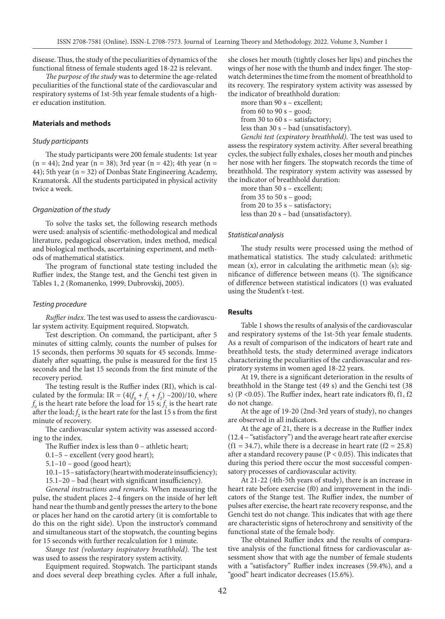disease. Thus, the study of the peculiarities of dynamics of the functional fitness of female students aged 18-22 is relevant.

*The purpose of the study* was to determine the age-related peculiarities of the functional state of the cardiovascular and respiratory systems of 1st-5th year female students of a higher education institution.

#### **Materials and methods**

#### *Study participants*

The study participants were 200 female students: 1st year  $(n = 44)$ ; 2nd year  $(n = 38)$ ; 3rd year  $(n = 42)$ ; 4th year  $(n = 41)$ 44); 5th year (n = 32) of Donbas State Engineering Academy, Kramatorsk. All the students participated in physical activity twice a week.

#### *Organization of the study*

To solve the tasks set, the following research methods were used: analysis of scientific-methodological and medical literature, pedagogical observation, index method, medical and biological methods, ascertaining experiment, and methods of mathematical statistics.

The program of functional state testing included the Ruffier index, the Stange test, and the Genchi test given in Tables 1, 2 (Romanenko, 1999; Dubrovskij, 2005).

#### *Testing procedure*

*Ruffier index.* The test was used to assess the cardiovascular system activity. Equipment required. Stopwatch.

Test description. On command, the participant, after 5 minutes of sitting calmly, counts the number of pulses for 15 seconds, then performs 30 squats for 45 seconds. Immediately after squatting, the pulse is measured for the first 15 seconds and the last 15 seconds from the first minute of the recovery period.

The testing result is the Ruffier index (RI), which is calculated by the formula: IR =  $(4(f_0 + f_1 + f_2) - 200)/10$ , where  $f_0$  is the heart rate before the load for 15 s;  $f_1$  is the heart rate after the load;  $f_2$  is the heart rate for the last 15 s from the first minute of recovery.

The cardiovascular system activity was assessed according to the index.

The Ruffier index is less than 0 – athletic heart;

0.1–5 – excellent (very good heart);

 $5.1-10$  – good (good heart);

10.1–15 – satisfactory (heart with moderate insufficiency);

15.1–20 – bad (heart with significant insufficiency).

*General instructions and remarks.* When measuring the pulse, the student places 2–4 fingers on the inside of her left hand near the thumb and gently presses the artery to the bone or places her hand on the carotid artery (it is comfortable to do this on the right side). Upon the instructor's command and simultaneous start of the stopwatch, the counting begins for 15 seconds with further recalculation for 1 minute.

*Stange test (voluntary inspiratory breathhold).* The test was used to assess the respiratory system activity.

Equipment required. Stopwatch. The participant stands and does several deep breathing cycles. After a full inhale,

she closes her mouth (tightly closes her lips) and pinches the wings of her nose with the thumb and index finger. The stopwatch determines the time from the moment of breathhold to its recovery. The respiratory system activity was assessed by the indicator of breathhold duration:

more than 90 s – excellent; from 60 to 90  $s - good$ ; from 30 to 60 s – satisfactory; less than 30 s – bad (unsatisfactory). *Genchi test (expiratory breathhold).* The test was used to

assess the respiratory system activity. After several breathing cycles, the subject fully exhales, closes her mouth and pinches her nose with her fingers. The stopwatch records the time of breathhold. The respiratory system activity was assessed by the indicator of breathhold duration:

more than 50 s – excellent; from 35 to 50 s - good; from 20 to 35 s – satisfactory; less than 20 s – bad (unsatisfactory).

#### *Statistical analysis*

The study results were processed using the method of mathematical statistics. The study calculated: arithmetic mean  $(x)$ , error in calculating the arithmetic mean  $(s)$ ; significance of difference between means (t). The significance of difference between statistical indicators (t) was evaluated using the Student's t-test.

#### **Results**

Table 1 shows the results of analysis of the cardiovascular and respiratory systems of the 1st-5th year female students. As a result of comparison of the indicators of heart rate and breathhold tests, the study determined average indicators characterizing the peculiarities of the cardiovascular and respiratory systems in women aged 18-22 years.

At 19, there is a significant deterioration in the results of breathhold in the Stange test (49 s) and the Genchi test (38 s) (P <0.05). The Ruffier index, heart rate indicators f0, f1, f2 do not change.

At the age of 19-20 (2nd-3rd years of study), no changes are observed in all indicators.

At the age of 21, there is a decrease in the Ruffier index (12.4 – "satisfactory") and the average heart rate after exercise  $(f1 = 34.7)$ , while there is a decrease in heart rate  $(f2 = 25.8)$ after a standard recovery pause ( $P < 0.05$ ). This indicates that during this period there occur the most successful compensatory processes of cardiovascular activity.

At 21-22 (4th-5th years of study), there is an increase in heart rate before exercise (f0) and improvement in the indicators of the Stange test. The Ruffier index, the number of pulses after exercise, the heart rate recovery response, and the Genchi test do not change. This indicates that with age there are characteristic signs of heterochrony and sensitivity of the functional state of the female body.

The obtained Ruffier index and the results of comparative analysis of the functional fitness for cardiovascular assessment show that with age the number of female students with a "satisfactory" Ruffier index increases (59.4%), and a "good" heart indicator decreases (15.6%).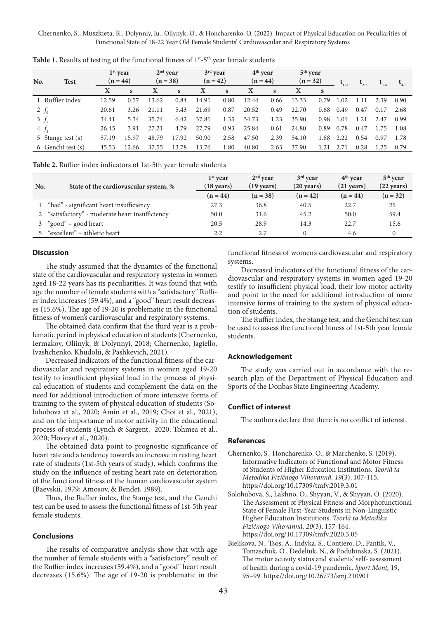Сhernenko, S., Muszkieta, R., Dolynniy, Iu., Oliynyk, O., & Honcharenko, O. (2022). Impact of Physical Education on Peculiarities of Functional State of 18-22 Year Old Female Students' Cardiovascular and Respiratory Systems

| No.      | <b>Test</b>       | $1st$ vear<br>$(n = 44)$ |       | $2nd$ vear<br>$(n = 38)$ |       | $3rd$ year<br>$(n = 42)$ |      | $4th$ year<br>$(n = 44)$ |      | $5th$ year<br>$(n = 32)$ |      |      | $L_{2-3}$ | $3 - 4$ | $t_{4-5}$ |
|----------|-------------------|--------------------------|-------|--------------------------|-------|--------------------------|------|--------------------------|------|--------------------------|------|------|-----------|---------|-----------|
|          |                   | X                        | S     | X                        | S     | X                        | S    | X                        | S    | х                        | S    |      |           |         |           |
|          | Ruffier index     | 12.59                    | 0.57  | 13.62                    | 0.84  | 14.91                    | 0.80 | 12.44                    | 0.66 | 13.33                    | 0.79 | 1.02 | 1.11      | 2.39    | 0.90      |
| 2 $f_0$  |                   | 20.61                    | 3.26  | 21.11                    | 5.43  | 21.69                    | 0.87 | 20.52                    | 0.49 | 22.70                    | 0.68 | 0.49 | 0.47      | 0.17    | 2.68      |
| $3 f_1$  |                   | 34.41                    | 5.34  | 35.74                    | 6.42  | 37.81                    | 1.35 | 34.73                    | 1.23 | 35.90                    | 0.98 | 1.01 | 1.21      | 2.47    | 0.99      |
| $4f_{2}$ |                   | 26.45                    | 3.91  | 27.21                    | 4.79  | 27.79                    | 0.93 | 25.84                    | 0.61 | 24.80                    | 0.89 | 0.78 | 0.47      | 1.75    | 1.08      |
|          | 5 Stange test (s) | 57.19                    | 15.97 | 48.79                    | 17.92 | 50.90                    | 2.58 | 47.50                    | 2.39 | 54.10                    | 1.88 | 2.22 | 0.54      | 0.97    | 1.78      |
|          | 6 Genchi test (s) | 45.53                    | 12.66 | 37.55                    | 13.78 | 13.76                    | 1.80 | 40.80                    | 2.63 | 37.90                    | 1.21 | 2.71 | 0.28      | 1.25    | 0.79      |

Table 1. Results of testing of the functional fitness of 1<sup>st</sup>-5<sup>th</sup> year female students

**Table 2.** Ruffier index indicators of 1st-5th year female students

|     |                                                 | $1st$ vear           | $2nd$ vear           | $3rd$ vear           | $4th$ vear           | $5th$ year           |  |
|-----|-------------------------------------------------|----------------------|----------------------|----------------------|----------------------|----------------------|--|
| No. | State of the cardiovascular system, %           | $(18 \text{ years})$ | $(19 \text{ years})$ | $(20 \text{ years})$ | $(21 \text{ years})$ | $(22 \text{ years})$ |  |
|     |                                                 | $(n = 44)$           | $(n = 38)$           | $(n = 42)$           | $(n = 44)$           | $(n = 32)$           |  |
|     | l "bad" - significant heart insufficiency       | 27.3                 | 36.8                 | 40.5                 | 22.7                 | 25                   |  |
|     | 2 "satisfactory" - moderate heart insufficiency | 50.0                 | 31.6                 | 45.2                 | 50.0                 | 59.4                 |  |
|     | "good" – good heart                             | 20.5                 | 28.9                 | 14.3                 | 22.7                 | 15.6                 |  |
|     | 5 "excellent" – athletic heart                  | 2.2                  | 2.7                  |                      | 4.6                  |                      |  |

## **Discussion**

The study assumed that the dynamics of the functional state of the cardiovascular and respiratory systems in women aged 18-22 years has its peculiarities. It was found that with age the number of female students with a "satisfactory" Ruffier index increases (59.4%), and a "good" heart result decreases (15.6%). The age of 19-20 is problematic in the functional fitness of women's cardiovascular and respiratory systems.

The obtained data confirm that the third year is a problematic period in physical education of students (Chernenko, Iermakov, Oliinyk, & Dolynnyi, 2018; Chernenko, Jagiello, Ivashchenko, Khudolii, & Pashkevich, 2021).

Decreased indicators of the functional fitness of the cardiovascular and respiratory systems in women aged 19-20 testify to insufficient physical load in the process of physical education of students and complement the data on the need for additional introduction of more intensive forms of training to the system of physical education of students (Solohubova et al., 2020; Amin et al., 2019; Choi et al., 2021), and on the importance of motor activity in the educational process of students (Lynch & Sargent, 2020; Tohmea et al., 2020; Hovey et al., 2020).

The obtained data point to prognostic significance of heart rate and a tendency towards an increase in resting heart rate of students (1st-5th years of study), which confirms the study on the influence of resting heart rate on deterioration of the functional fitness of the human cardiovascular system (Baevskii, 1979; Amosov, & Bendet, 1989).

Thus, the Ruffier index, the Stange test, and the Genchi test can be used to assess the functional fitness of 1st-5th year female students.

#### **Conclusions**

The results of comparative analysis show that with age the number of female students with a "satisfactory" result of the Ruffier index increases (59.4%), and a "good" heart result decreases (15.6%). The age of 19-20 is problematic in the

functional fitness of women's cardiovascular and respiratory systems.

Decreased indicators of the functional fitness of the cardiovascular and respiratory systems in women aged 19-20 testify to insufficient physical load, their low motor activity and point to the need for additional introduction of more intensive forms of training to the system of physical education of students.

The Ruffier index, the Stange test, and the Genchi test can be used to assess the functional fitness of 1st-5th year female students.

#### **Acknowledgement**

The study was carried out in accordance with the research plan of the Department of Physical Education and Sports of the Donbas State Engineering Academy.

#### **Conflict of interest**

The authors declare that there is no conflict of interest.

#### **References**

- Chernenko, S., Honcharenko, O., & Marchenko, S. (2019). Informative Indicators of Functional and Motor Fitness of Students of Higher Education Institutions. *Teorìâ ta Metodika Fìzičnogo Vihovannâ, 19*(3), 107-115. https://doi.org/10.17309/tmfv.2019.3.01
- Solohubova, S., Lakhno, O., Shyyan, V., & Shyyan, O. (2020). The Assessment of Physical Fitness and Morphofunctional State of Female First-Year Students in Non-Linguistic Higher Education Institutions. *Teorìâ ta Metodika Fìzičnogo Vihovannâ, 20*(3), 157-164. https://doi.org/10.17309/tmfv.2020.3.05
- Bielikova, N., Tsos, A., Indyka, S., Contiero, D., Pantik, V., Tomaschuk, O., Dedeliuk, N., & Podubinska, S. (2021). The motor activity status and students' self- assessment of health during a covid-19 pandemic. *Sport Mont,* 19, 95–99. https://doi.org/10.26773/smj.210901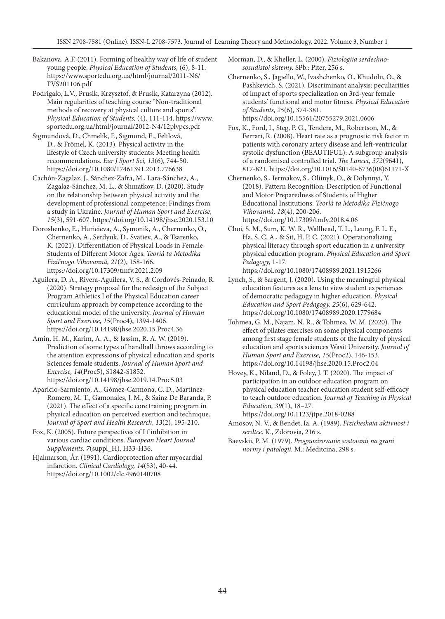- Bakanova, A.F. (2011). Forming of healthy way of life of student young people. *Physical Education of Students,* (6), 8-11. https://www.sportedu.org.ua/html/journal/2011-N6/ FVS201106.pdf
- Podrigalo, L.V., Prusik, Krzysztof, & Prusik, Katarzyna (2012). Main regularities of teaching course "Non-traditional methods of recovery at physical culture and sports". *Physical Education of Students,* (4), 111-114. https://www. sportedu.org.ua/html/journal/2012-N4/12plvpcs.pdf
- Sigmundová, D., Chmelík, F., Sigmund, E., Feltlová, D., & Frömel, K. (2013). Physical activity in the lifestyle of Czech university students: Meeting health recommendations. *Eur J Sport Sci, 13*(6), 744-50. https://doi.org/10.1080/17461391.2013.776638
- Cachón-Zagalaz, J., Sánchez-Zafra, M., Lara-Sánchez, A., Zagalaz-Sánchez, M. L., & Shmatkov, D. (2020). Study on the relationship between physical activity and the development of professional competence: Findings from a study in Ukraine. *Journal of Human Sport and Exercise, 15*(3), 591-607. https://doi.org/10.14198/jhse.2020.153.10
- Doroshenko, E., Hurieieva, A., Symonik, A., Chernenko, O., Chernenko, A., Serdyuk, D., Svatiev, A., & Tsarenko, K. (2021). Differentiation of Physical Loads in Female Students of Different Motor Ages. *Teorìâ ta Metodika Fìzičnogo Vihovannâ, 21*(2), 158-166. https://doi.org/10.17309/tmfv.2021.2.09
- Aguilera, D. A., Rivera-Aguilera, V. S., & Cordovés-Peinado, R. (2020). Strategy proposal for the redesign of the Subject Program Athletics I of the Physical Education career curriculum approach by competence according to the educational model of the university. *Journal of Human Sport and Exercise, 15*(Proc4), 1394-1406. https://doi.org/10.14198/jhse.2020.15.Proc4.36
- Amin, H. M., Karim, A. A., & Jassim, R. A. W. (2019). Prediction of some types of handball throws according to the attention expressions of physical education and sports Sciences female students. *Journal of Human Sport and Exercise, 14*(Proc5), S1842-S1852. https://doi.org/10.14198/jhse.2019.14.Proc5.03
- Aparicio-Sarmiento, A., Gómez-Carmona, C. D., Martínez-Romero, M. T., Gamonales, J. M., & Sainz De Baranda, P. (2021). The effect of a specific core training program in physical education on perceived exertion and technique. *Journal of Sport and Health Research, 13*(2), 195-210.
- Fox, K. (2005). Future perspectives of I f inhibition in various cardiac conditions. *European Heart Journal Supplements, 7*(suppl\_H), H33-H36.
- Hjalmarson, År. (1991). Cardioprotection after myocardial infarction. *Clinical Cardiology, 14*(S3), 40-44. https://doi.org/10.1002/clc.4960140708
- Morman, D., & Kheller, L. (2000). *Fiziologiia serdechnososudistoi sistemy.* SPb.: Piter, 256 s.
- Chernenko, S., Jagiello, W., Ivashchenko, O., Khudolii, O., & Pashkevich, S. (2021). Discriminant analysis: peculiarities of impact of sports specialization on 3rd-year female students' functional and motor fitness. *Physical Education of Students, 25*(6), 374-381. https://doi.org/10.15561/20755279.2021.0606
- Fox, K., Ford, I., Steg, P. G., Tendera, M., Robertson, M., & Ferrari, R. (2008). Heart rate as a prognostic risk factor in patients with coronary artery disease and left-ventricular systolic dysfunction (BEAUTIFUL): A subgroup analysis of a randomised controlled trial. *The Lancet, 372*(9641), 817-821. https://doi.org/10.1016/S0140-6736(08)61171-X
- Chernenko, S., Iermakov, S., Oliinyk, O., & Dolynnyi, Y. (2018). Pattern Recognition: Description of Functional and Motor Preparedness of Students of Higher Educational Institutions. *Teorìâ ta Metodika Fìzičnogo Vihovannâ, 18*(4), 200-206. https://doi.org/10.17309/tmfv.2018.4.06
- Choi, S. M., Sum, K. W. R., Wallhead, T. L., Leung, F. L. E., Ha, S. C. A., & Sit, H. P. C. (2021). Operationalizing physical literacy through sport education in a university physical education program. *Physical Education and Sport Pedagogy,* 1-17.
- https://doi.org/10.1080/17408989.2021.1915266 Lynch, S., & Sargent, J. (2020). Using the meaningful physical education features as a lens to view student experiences of democratic pedagogy in higher education. *Physical Education and Sport Pedagogy, 25*(6), 629-642. https://doi.org/10.1080/17408989.2020.1779684
- Tohmea, G. M., Najam, N. R., & Tohmea, W. M. (2020). The effect of pilates exercises on some physical components among first stage female students of the faculty of physical education and sports sciences Wasit University. *Journal of Human Sport and Exercise, 15*(Proc2), 146-153. https://doi.org/10.14198/jhse.2020.15.Proc2.04
- Hovey, K., Niland, D., & Foley, J. T. (2020). The impact of participation in an outdoor education program on physical education teacher education student self-efficacy to teach outdoor education. *Journal of Teaching in Physical Education, 39*(1), 18–27. https://doi.org/10.1123/jtpe.2018-0288
- Amosov, N. V., & Bendet, Ia. A. (1989). *Fizicheskaia aktivnost i serdtce.* K., Zdorovia, 216 s.
- Baevskii, P. M. (1979). *Prognozirovanie sostoianii na grani normy i patologii*. M.: Meditcina, 298 s.